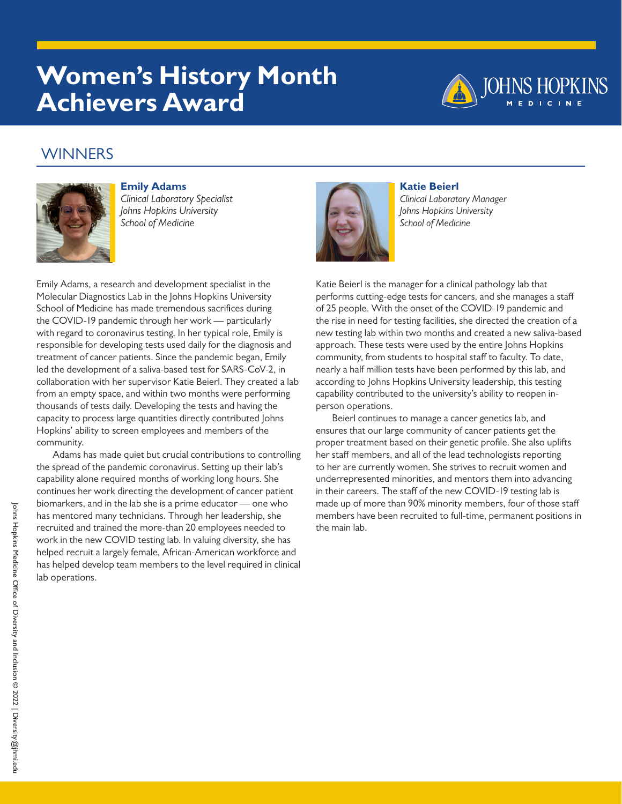# **Women's History Month Achievers Award**



### **WINNERS**



**Emily Adams** *Clinical Laboratory Specialist Johns Hopkins University School of Medicine*

Emily Adams, a research and development specialist in the Molecular Diagnostics Lab in the Johns Hopkins University School of Medicine has made tremendous sacrifices during the COVID-19 pandemic through her work — particularly with regard to coronavirus testing. In her typical role, Emily is responsible for developing tests used daily for the diagnosis and treatment of cancer patients. Since the pandemic began, Emily led the development of a saliva-based test for SARS-CoV-2, in collaboration with her supervisor Katie Beierl. They created a lab from an empty space, and within two months were performing thousands of tests daily. Developing the tests and having the capacity to process large quantities directly contributed Johns Hopkins' ability to screen employees and members of the community.

Adams has made quiet but crucial contributions to controlling the spread of the pandemic coronavirus. Setting up their lab's capability alone required months of working long hours. She continues her work directing the development of cancer patient biomarkers, and in the lab she is a prime educator — one who has mentored many technicians. Through her leadership, she recruited and trained the more-than 20 employees needed to work in the new COVID testing lab. In valuing diversity, she has helped recruit a largely female, African-American workforce and has helped develop team members to the level required in clinical lab operations.



**Katie Beierl** *Clinical Laboratory Manager Johns Hopkins University School of Medicine*

Katie Beierl is the manager for a clinical pathology lab that performs cutting-edge tests for cancers, and she manages a staff of 25 people. With the onset of the COVID-19 pandemic and the rise in need for testing facilities, she directed the creation of a new testing lab within two months and created a new saliva-based approach. These tests were used by the entire Johns Hopkins community, from students to hospital staff to faculty. To date, nearly a half million tests have been performed by this lab, and according to Johns Hopkins University leadership, this testing capability contributed to the university's ability to reopen inperson operations.

Beierl continues to manage a cancer genetics lab, and ensures that our large community of cancer patients get the proper treatment based on their genetic profile. She also uplifts her staff members, and all of the lead technologists reporting to her are currently women. She strives to recruit women and underrepresented minorities, and mentors them into advancing in their careers. The staff of the new COVID-19 testing lab is made up of more than 90% minority members, four of those staff members have been recruited to full-time, permanent positions in the main lab.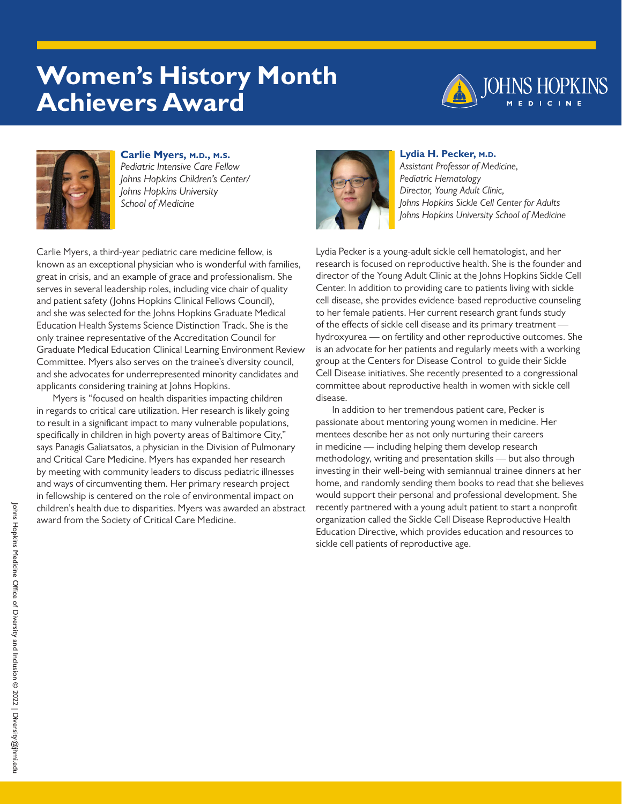# **Women's History Month Achievers Award**





**Carlie Myers, m.d., m.s.** *Pediatric Intensive Care Fellow Johns Hopkins Children's Center/ Johns Hopkins University School of Medicine*

Carlie Myers, a third-year pediatric care medicine fellow, is known as an exceptional physician who is wonderful with families, great in crisis, and an example of grace and professionalism. She serves in several leadership roles, including vice chair of quality and patient safety (Johns Hopkins Clinical Fellows Council), and she was selected for the Johns Hopkins Graduate Medical Education Health Systems Science Distinction Track. She is the only trainee representative of the Accreditation Council for Graduate Medical Education Clinical Learning Environment Review Committee. Myers also serves on the trainee's diversity council, and she advocates for underrepresented minority candidates and applicants considering training at Johns Hopkins.

Myers is "focused on health disparities impacting children in regards to critical care utilization. Her research is likely going to result in a significant impact to many vulnerable populations, specifically in children in high poverty areas of Baltimore City," says Panagis Galiatsatos, a physician in the Division of Pulmonary and Critical Care Medicine. Myers has expanded her research by meeting with community leaders to discuss pediatric illnesses and ways of circumventing them. Her primary research project in fellowship is centered on the role of environmental impact on children's health due to disparities. Myers was awarded an abstract award from the Society of Critical Care Medicine.



### **Lydia H. Pecker, m.d.**

*Assistant Professor of Medicine, Pediatric Hematology Director, Young Adult Clinic, Johns Hopkins Sickle Cell Center for Adults Johns Hopkins University School of Medicine*

Lydia Pecker is a young-adult sickle cell hematologist, and her research is focused on reproductive health. She is the founder and director of the Young Adult Clinic at the Johns Hopkins Sickle Cell Center. In addition to providing care to patients living with sickle cell disease, she provides evidence-based reproductive counseling to her female patients. Her current research grant funds study of the effects of sickle cell disease and its primary treatment hydroxyurea — on fertility and other reproductive outcomes. She is an advocate for her patients and regularly meets with a working group at the Centers for Disease Control to guide their Sickle Cell Disease initiatives. She recently presented to a congressional committee about reproductive health in women with sickle cell disease.

In addition to her tremendous patient care, Pecker is passionate about mentoring young women in medicine. Her mentees describe her as not only nurturing their careers in medicine — including helping them develop research methodology, writing and presentation skills — but also through investing in their well-being with semiannual trainee dinners at her home, and randomly sending them books to read that she believes would support their personal and professional development. She recently partnered with a young adult patient to start a nonprofit organization called the Sickle Cell Disease Reproductive Health Education Directive, which provides education and resources to sickle cell patients of reproductive age.